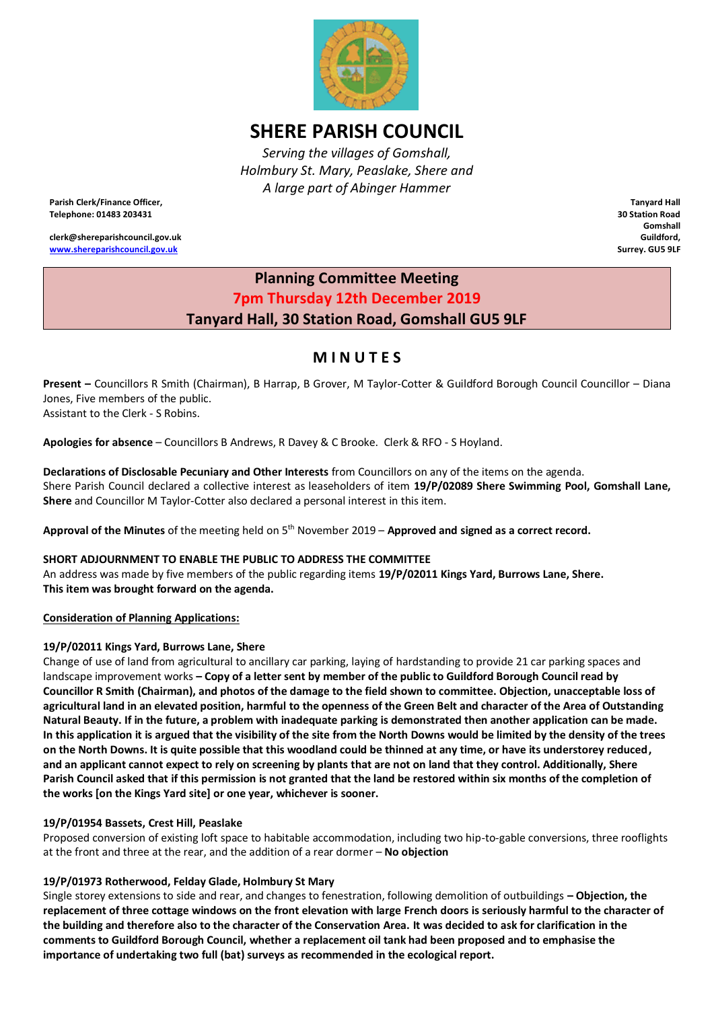

# **SHERE PARISH COUNCIL**

*Serving the villages of Gomshall, Holmbury St. Mary, Peaslake, Shere and A large part of Abinger Hammer*

**Parish Clerk/Finance Officer, Telephone: 01483 203431**

**clerk@shereparishcouncil.gov.uk [www.shereparishcouncil.gov.uk](http://www.shereparishcouncil.gov.uk/)**

**Tanyard Hall 30 Station Road Gomshall Guildford, Surrey. GU5 9LF**

### **Planning Committee Meeting 7pm Thursday 12th December 2019 Tanyard Hall, 30 Station Road, Gomshall GU5 9LF**

## **M I N U T E S**

**Present –** Councillors R Smith (Chairman), B Harrap, B Grover, M Taylor-Cotter & Guildford Borough Council Councillor – Diana Jones, Five members of the public. Assistant to the Clerk - S Robins.

**Apologies for absence** – Councillors B Andrews, R Davey & C Brooke. Clerk & RFO - S Hoyland.

### **Declarations of Disclosable Pecuniary and Other Interests** from Councillors on any of the items on the agenda.

Shere Parish Council declared a collective interest as leaseholders of item **19/P/02089 Shere Swimming Pool, Gomshall Lane, Shere** and Councillor M Taylor-Cotter also declared a personal interest in this item.

Approval of the Minutes of the meeting held on 5<sup>th</sup> November 2019 – Approved and signed as a correct record.

#### **SHORT ADJOURNMENT TO ENABLE THE PUBLIC TO ADDRESS THE COMMITTEE**

An address was made by five members of the public regarding items **19/P/02011 Kings Yard, Burrows Lane, Shere. This item was brought forward on the agenda.**

#### **Consideration of Planning Applications:**

#### **19/P/02011 Kings Yard, Burrows Lane, Shere**

Change of use of land from agricultural to ancillary car parking, laying of hardstanding to provide 21 car parking spaces and landscape improvement works **– Copy of a letter sent by member of the public to Guildford Borough Council read by Councillor R Smith (Chairman), and photos of the damage to the field shown to committee. Objection, unacceptable loss of agricultural land in an elevated position, harmful to the openness of the Green Belt and character of the Area of Outstanding Natural Beauty. If in the future, a problem with inadequate parking is demonstrated then another application can be made. In this application it is argued that the visibility of the site from the North Downs would be limited by the density of the trees on the North Downs. It is quite possible that this woodland could be thinned at any time, or have its understorey reduced, and an applicant cannot expect to rely on screening by plants that are not on land that they control. Additionally, Shere Parish Council asked that if this permission is not granted that the land be restored within six months of the completion of the works [on the Kings Yard site] or one year, whichever is sooner.**

#### **19/P/01954 Bassets, Crest Hill, Peaslake**

Proposed conversion of existing loft space to habitable accommodation, including two hip-to-gable conversions, three rooflights at the front and three at the rear, and the addition of a rear dormer – **No objection**

#### **19/P/01973 Rotherwood, Felday Glade, Holmbury St Mary**

Single storey extensions to side and rear, and changes to fenestration, following demolition of outbuildings **– Objection, the replacement of three cottage windows on the front elevation with large French doors is seriously harmful to the character of the building and therefore also to the character of the Conservation Area. It was decided to ask for clarification in the comments to Guildford Borough Council, whether a replacement oil tank had been proposed and to emphasise the importance of undertaking two full (bat) surveys as recommended in the ecological report.**